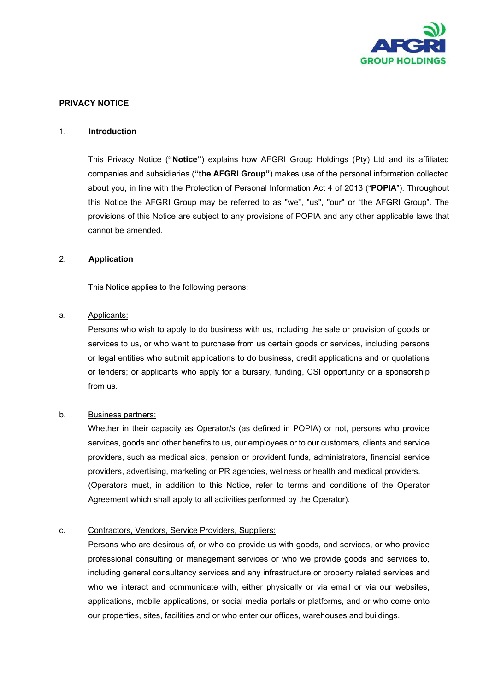

# PRIVACY NOTICE

#### 1. Introduction

This Privacy Notice ("Notice") explains how AFGRI Group Holdings (Pty) Ltd and its affiliated companies and subsidiaries ("the AFGRI Group") makes use of the personal information collected about you, in line with the Protection of Personal Information Act 4 of 2013 ("POPIA"). Throughout this Notice the AFGRI Group may be referred to as "we", "us", "our" or "the AFGRI Group". The provisions of this Notice are subject to any provisions of POPIA and any other applicable laws that cannot be amended.

# 2. Application

This Notice applies to the following persons:

#### a. Applicants:

Persons who wish to apply to do business with us, including the sale or provision of goods or services to us, or who want to purchase from us certain goods or services, including persons or legal entities who submit applications to do business, credit applications and or quotations or tenders; or applicants who apply for a bursary, funding, CSI opportunity or a sponsorship from us.

# b. Business partners:

Whether in their capacity as Operator/s (as defined in POPIA) or not, persons who provide services, goods and other benefits to us, our employees or to our customers, clients and service providers, such as medical aids, pension or provident funds, administrators, financial service providers, advertising, marketing or PR agencies, wellness or health and medical providers. (Operators must, in addition to this Notice, refer to terms and conditions of the Operator Agreement which shall apply to all activities performed by the Operator).

# c. Contractors, Vendors, Service Providers, Suppliers:

Persons who are desirous of, or who do provide us with goods, and services, or who provide professional consulting or management services or who we provide goods and services to, including general consultancy services and any infrastructure or property related services and who we interact and communicate with, either physically or via email or via our websites, applications, mobile applications, or social media portals or platforms, and or who come onto our properties, sites, facilities and or who enter our offices, warehouses and buildings.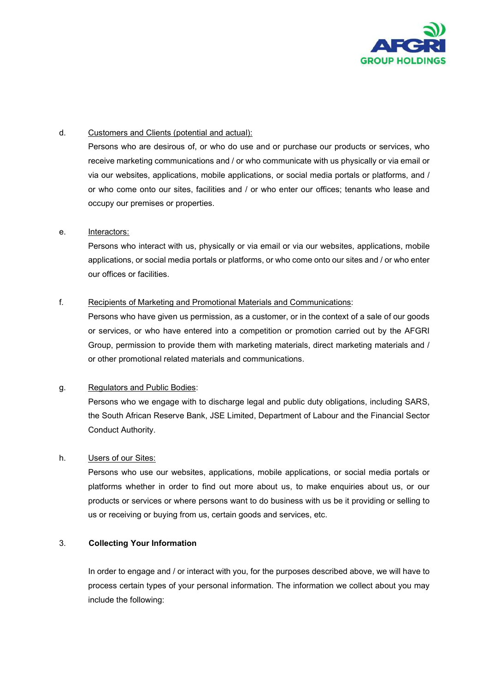

# d. Customers and Clients (potential and actual):

Persons who are desirous of, or who do use and or purchase our products or services, who receive marketing communications and / or who communicate with us physically or via email or via our websites, applications, mobile applications, or social media portals or platforms, and / or who come onto our sites, facilities and / or who enter our offices; tenants who lease and occupy our premises or properties.

# e. Interactors:

Persons who interact with us, physically or via email or via our websites, applications, mobile applications, or social media portals or platforms, or who come onto our sites and / or who enter our offices or facilities.

#### f. Recipients of Marketing and Promotional Materials and Communications:

Persons who have given us permission, as a customer, or in the context of a sale of our goods or services, or who have entered into a competition or promotion carried out by the AFGRI Group, permission to provide them with marketing materials, direct marketing materials and / or other promotional related materials and communications.

# g. Regulators and Public Bodies:

Persons who we engage with to discharge legal and public duty obligations, including SARS, the South African Reserve Bank, JSE Limited, Department of Labour and the Financial Sector Conduct Authority.

# h. Users of our Sites:

Persons who use our websites, applications, mobile applications, or social media portals or platforms whether in order to find out more about us, to make enquiries about us, or our products or services or where persons want to do business with us be it providing or selling to us or receiving or buying from us, certain goods and services, etc.

# 3. Collecting Your Information

In order to engage and / or interact with you, for the purposes described above, we will have to process certain types of your personal information. The information we collect about you may include the following: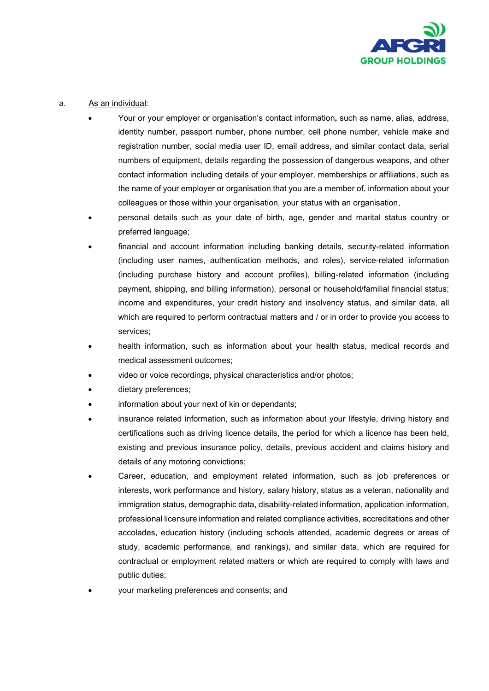

# a. As an individual:

- Your or your employer or organisation's contact information, such as name, alias, address, identity number, passport number, phone number, cell phone number, vehicle make and registration number, social media user ID, email address, and similar contact data, serial numbers of equipment, details regarding the possession of dangerous weapons, and other contact information including details of your employer, memberships or affiliations, such as the name of your employer or organisation that you are a member of, information about your colleagues or those within your organisation, your status with an organisation,
- personal details such as your date of birth, age, gender and marital status country or preferred language;
- financial and account information including banking details, security-related information (including user names, authentication methods, and roles), service-related information (including purchase history and account profiles), billing-related information (including payment, shipping, and billing information), personal or household/familial financial status; income and expenditures, your credit history and insolvency status, and similar data, all which are required to perform contractual matters and / or in order to provide you access to services;
- health information, such as information about your health status, medical records and medical assessment outcomes;
- video or voice recordings, physical characteristics and/or photos;
- dietary preferences;
- information about your next of kin or dependants;
- insurance related information, such as information about your lifestyle, driving history and certifications such as driving licence details, the period for which a licence has been held, existing and previous insurance policy, details, previous accident and claims history and details of any motoring convictions;
- Career, education, and employment related information, such as job preferences or interests, work performance and history, salary history, status as a veteran, nationality and immigration status, demographic data, disability-related information, application information, professional licensure information and related compliance activities, accreditations and other accolades, education history (including schools attended, academic degrees or areas of study, academic performance, and rankings), and similar data, which are required for contractual or employment related matters or which are required to comply with laws and public duties;
- your marketing preferences and consents; and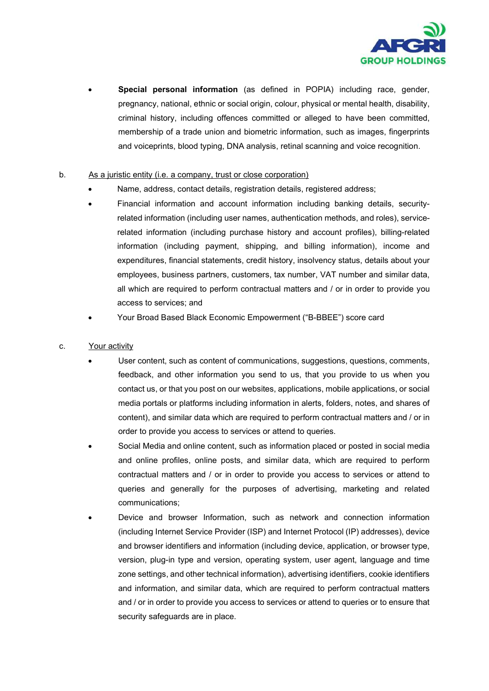

Special personal information (as defined in POPIA) including race, gender, pregnancy, national, ethnic or social origin, colour, physical or mental health, disability, criminal history, including offences committed or alleged to have been committed, membership of a trade union and biometric information, such as images, fingerprints and voiceprints, blood typing, DNA analysis, retinal scanning and voice recognition.

# b. As a juristic entity (i.e. a company, trust or close corporation)

- Name, address, contact details, registration details, registered address;
- Financial information and account information including banking details, securityrelated information (including user names, authentication methods, and roles), servicerelated information (including purchase history and account profiles), billing-related information (including payment, shipping, and billing information), income and expenditures, financial statements, credit history, insolvency status, details about your employees, business partners, customers, tax number, VAT number and similar data, all which are required to perform contractual matters and / or in order to provide you access to services; and
- Your Broad Based Black Economic Empowerment ("B-BBEE") score card

# c. Your activity

- User content, such as content of communications, suggestions, questions, comments, feedback, and other information you send to us, that you provide to us when you contact us, or that you post on our websites, applications, mobile applications, or social media portals or platforms including information in alerts, folders, notes, and shares of content), and similar data which are required to perform contractual matters and / or in order to provide you access to services or attend to queries.
- Social Media and online content, such as information placed or posted in social media and online profiles, online posts, and similar data, which are required to perform contractual matters and / or in order to provide you access to services or attend to queries and generally for the purposes of advertising, marketing and related communications;
- Device and browser Information, such as network and connection information (including Internet Service Provider (ISP) and Internet Protocol (IP) addresses), device and browser identifiers and information (including device, application, or browser type, version, plug-in type and version, operating system, user agent, language and time zone settings, and other technical information), advertising identifiers, cookie identifiers and information, and similar data, which are required to perform contractual matters and / or in order to provide you access to services or attend to queries or to ensure that security safeguards are in place.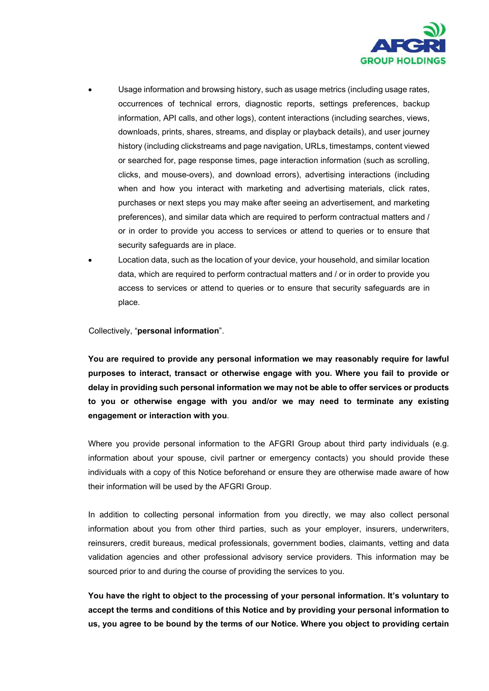

- Usage information and browsing history, such as usage metrics (including usage rates, occurrences of technical errors, diagnostic reports, settings preferences, backup information, API calls, and other logs), content interactions (including searches, views, downloads, prints, shares, streams, and display or playback details), and user journey history (including clickstreams and page navigation, URLs, timestamps, content viewed or searched for, page response times, page interaction information (such as scrolling, clicks, and mouse-overs), and download errors), advertising interactions (including when and how you interact with marketing and advertising materials, click rates, purchases or next steps you may make after seeing an advertisement, and marketing preferences), and similar data which are required to perform contractual matters and / or in order to provide you access to services or attend to queries or to ensure that security safeguards are in place.
- Location data, such as the location of your device, your household, and similar location data, which are required to perform contractual matters and / or in order to provide you access to services or attend to queries or to ensure that security safeguards are in place.

Collectively, "personal information".

You are required to provide any personal information we may reasonably require for lawful purposes to interact, transact or otherwise engage with you. Where you fail to provide or delay in providing such personal information we may not be able to offer services or products to you or otherwise engage with you and/or we may need to terminate any existing engagement or interaction with you.

Where you provide personal information to the AFGRI Group about third party individuals (e.g. information about your spouse, civil partner or emergency contacts) you should provide these individuals with a copy of this Notice beforehand or ensure they are otherwise made aware of how their information will be used by the AFGRI Group.

In addition to collecting personal information from you directly, we may also collect personal information about you from other third parties, such as your employer, insurers, underwriters, reinsurers, credit bureaus, medical professionals, government bodies, claimants, vetting and data validation agencies and other professional advisory service providers. This information may be sourced prior to and during the course of providing the services to you.

You have the right to object to the processing of your personal information. It's voluntary to accept the terms and conditions of this Notice and by providing your personal information to us, you agree to be bound by the terms of our Notice. Where you object to providing certain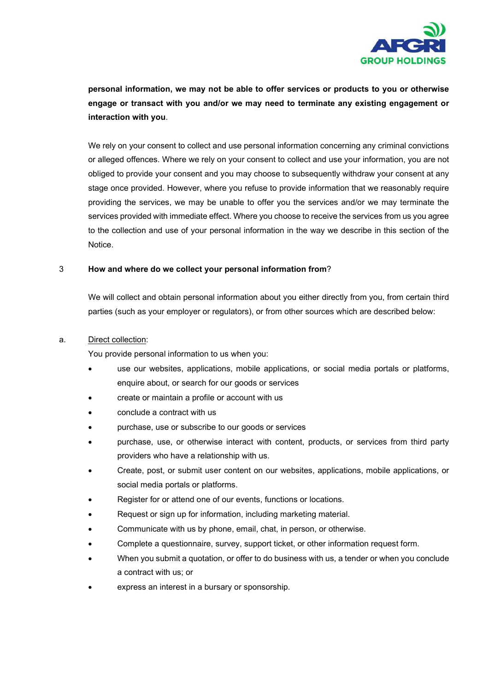

personal information, we may not be able to offer services or products to you or otherwise engage or transact with you and/or we may need to terminate any existing engagement or interaction with you.

We rely on your consent to collect and use personal information concerning any criminal convictions or alleged offences. Where we rely on your consent to collect and use your information, you are not obliged to provide your consent and you may choose to subsequently withdraw your consent at any stage once provided. However, where you refuse to provide information that we reasonably require providing the services, we may be unable to offer you the services and/or we may terminate the services provided with immediate effect. Where you choose to receive the services from us you agree to the collection and use of your personal information in the way we describe in this section of the Notice.

# 3 How and where do we collect your personal information from?

We will collect and obtain personal information about you either directly from you, from certain third parties (such as your employer or regulators), or from other sources which are described below:

# a. Direct collection:

You provide personal information to us when you:

- use our websites, applications, mobile applications, or social media portals or platforms, enquire about, or search for our goods or services
- create or maintain a profile or account with us
- conclude a contract with us
- purchase, use or subscribe to our goods or services
- purchase, use, or otherwise interact with content, products, or services from third party providers who have a relationship with us.
- Create, post, or submit user content on our websites, applications, mobile applications, or social media portals or platforms.
- Register for or attend one of our events, functions or locations.
- Request or sign up for information, including marketing material.
- Communicate with us by phone, email, chat, in person, or otherwise.
- Complete a questionnaire, survey, support ticket, or other information request form.
- When you submit a quotation, or offer to do business with us, a tender or when you conclude a contract with us; or
- express an interest in a bursary or sponsorship.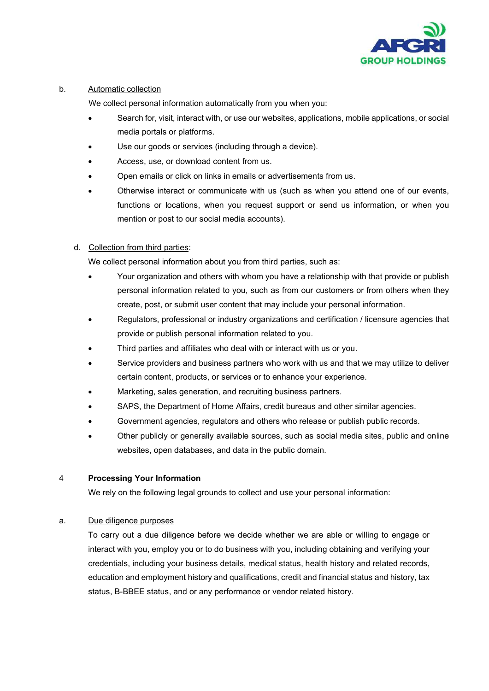

### b. Automatic collection

We collect personal information automatically from you when you:

- Search for, visit, interact with, or use our websites, applications, mobile applications, or social media portals or platforms.
- Use our goods or services (including through a device).
- Access, use, or download content from us.
- Open emails or click on links in emails or advertisements from us.
- Otherwise interact or communicate with us (such as when you attend one of our events, functions or locations, when you request support or send us information, or when you mention or post to our social media accounts).

# d. Collection from third parties:

We collect personal information about you from third parties, such as:

- Your organization and others with whom you have a relationship with that provide or publish personal information related to you, such as from our customers or from others when they create, post, or submit user content that may include your personal information.
- Regulators, professional or industry organizations and certification / licensure agencies that provide or publish personal information related to you.
- Third parties and affiliates who deal with or interact with us or you.
- Service providers and business partners who work with us and that we may utilize to deliver certain content, products, or services or to enhance your experience.
- Marketing, sales generation, and recruiting business partners.
- SAPS, the Department of Home Affairs, credit bureaus and other similar agencies.
- Government agencies, regulators and others who release or publish public records.
- Other publicly or generally available sources, such as social media sites, public and online websites, open databases, and data in the public domain.

# 4 Processing Your Information

We rely on the following legal grounds to collect and use your personal information:

# a. Due diligence purposes

To carry out a due diligence before we decide whether we are able or willing to engage or interact with you, employ you or to do business with you, including obtaining and verifying your credentials, including your business details, medical status, health history and related records, education and employment history and qualifications, credit and financial status and history, tax status, B-BBEE status, and or any performance or vendor related history.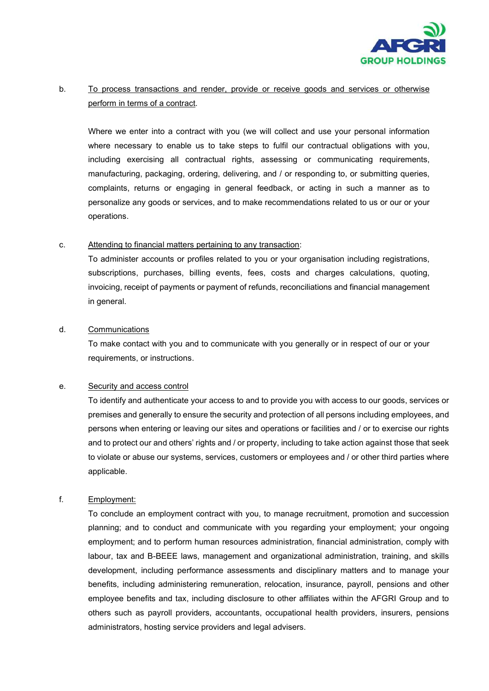

# b. To process transactions and render, provide or receive goods and services or otherwise perform in terms of a contract.

Where we enter into a contract with you (we will collect and use your personal information where necessary to enable us to take steps to fulfil our contractual obligations with you, including exercising all contractual rights, assessing or communicating requirements, manufacturing, packaging, ordering, delivering, and / or responding to, or submitting queries, complaints, returns or engaging in general feedback, or acting in such a manner as to personalize any goods or services, and to make recommendations related to us or our or your operations.

# c. Attending to financial matters pertaining to any transaction:

To administer accounts or profiles related to you or your organisation including registrations, subscriptions, purchases, billing events, fees, costs and charges calculations, quoting, invoicing, receipt of payments or payment of refunds, reconciliations and financial management in general.

# d. Communications

To make contact with you and to communicate with you generally or in respect of our or your requirements, or instructions.

# e. Security and access control

To identify and authenticate your access to and to provide you with access to our goods, services or premises and generally to ensure the security and protection of all persons including employees, and persons when entering or leaving our sites and operations or facilities and / or to exercise our rights and to protect our and others' rights and / or property, including to take action against those that seek to violate or abuse our systems, services, customers or employees and / or other third parties where applicable.

# f. Employment:

To conclude an employment contract with you, to manage recruitment, promotion and succession planning; and to conduct and communicate with you regarding your employment; your ongoing employment; and to perform human resources administration, financial administration, comply with labour, tax and B-BEEE laws, management and organizational administration, training, and skills development, including performance assessments and disciplinary matters and to manage your benefits, including administering remuneration, relocation, insurance, payroll, pensions and other employee benefits and tax, including disclosure to other affiliates within the AFGRI Group and to others such as payroll providers, accountants, occupational health providers, insurers, pensions administrators, hosting service providers and legal advisers.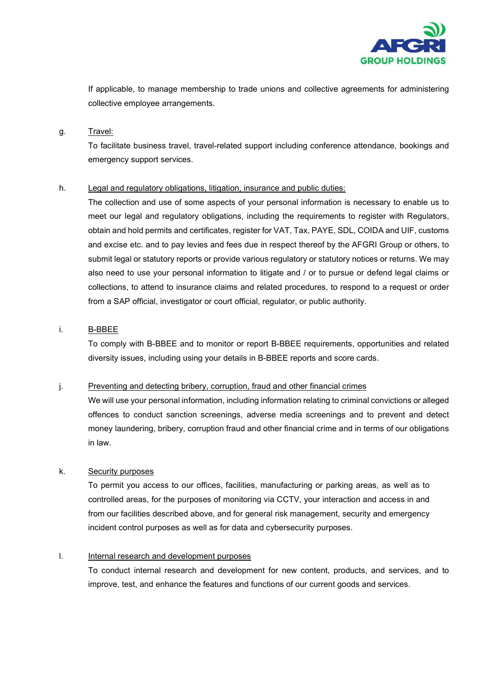

If applicable, to manage membership to trade unions and collective agreements for administering collective employee arrangements.

#### g. Travel:

To facilitate business travel, travel-related support including conference attendance, bookings and emergency support services.

# h. Legal and regulatory obligations, litigation, insurance and public duties:

The collection and use of some aspects of your personal information is necessary to enable us to meet our legal and regulatory obligations, including the requirements to register with Regulators, obtain and hold permits and certificates, register for VAT, Tax, PAYE, SDL, COIDA and UIF, customs and excise etc. and to pay levies and fees due in respect thereof by the AFGRI Group or others, to submit legal or statutory reports or provide various regulatory or statutory notices or returns. We may also need to use your personal information to litigate and / or to pursue or defend legal claims or collections, to attend to insurance claims and related procedures, to respond to a request or order from a SAP official, investigator or court official, regulator, or public authority.

# i. B-BBEE

To comply with B-BBEE and to monitor or report B-BBEE requirements, opportunities and related diversity issues, including using your details in B-BBEE reports and score cards.

# j. Preventing and detecting bribery, corruption, fraud and other financial crimes

We will use your personal information, including information relating to criminal convictions or alleged offences to conduct sanction screenings, adverse media screenings and to prevent and detect money laundering, bribery, corruption fraud and other financial crime and in terms of our obligations in law.

# k. Security purposes

To permit you access to our offices, facilities, manufacturing or parking areas, as well as to controlled areas, for the purposes of monitoring via CCTV, your interaction and access in and from our facilities described above, and for general risk management, security and emergency incident control purposes as well as for data and cybersecurity purposes.

# l. Internal research and development purposes

To conduct internal research and development for new content, products, and services, and to improve, test, and enhance the features and functions of our current goods and services.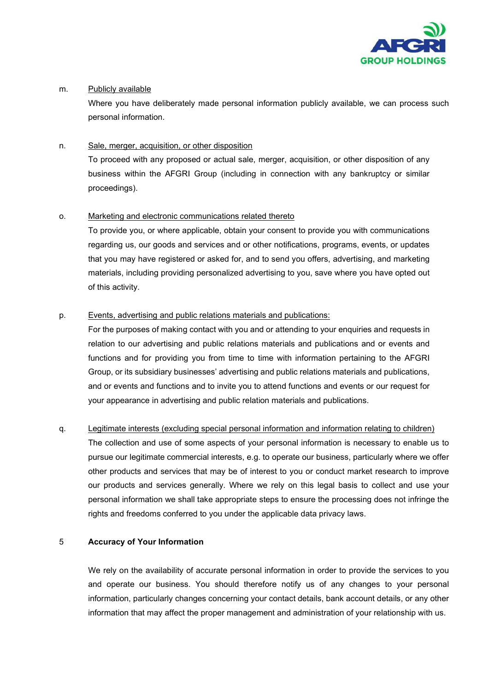

# m. Publicly available

Where you have deliberately made personal information publicly available, we can process such personal information.

# n. Sale, merger, acquisition, or other disposition

To proceed with any proposed or actual sale, merger, acquisition, or other disposition of any business within the AFGRI Group (including in connection with any bankruptcy or similar proceedings).

# o. Marketing and electronic communications related thereto

To provide you, or where applicable, obtain your consent to provide you with communications regarding us, our goods and services and or other notifications, programs, events, or updates that you may have registered or asked for, and to send you offers, advertising, and marketing materials, including providing personalized advertising to you, save where you have opted out of this activity.

# p. Events, advertising and public relations materials and publications:

For the purposes of making contact with you and or attending to your enquiries and requests in relation to our advertising and public relations materials and publications and or events and functions and for providing you from time to time with information pertaining to the AFGRI Group, or its subsidiary businesses' advertising and public relations materials and publications, and or events and functions and to invite you to attend functions and events or our request for your appearance in advertising and public relation materials and publications.

# q. Legitimate interests (excluding special personal information and information relating to children)

The collection and use of some aspects of your personal information is necessary to enable us to pursue our legitimate commercial interests, e.g. to operate our business, particularly where we offer other products and services that may be of interest to you or conduct market research to improve our products and services generally. Where we rely on this legal basis to collect and use your personal information we shall take appropriate steps to ensure the processing does not infringe the rights and freedoms conferred to you under the applicable data privacy laws.

# 5 Accuracy of Your Information

We rely on the availability of accurate personal information in order to provide the services to you and operate our business. You should therefore notify us of any changes to your personal information, particularly changes concerning your contact details, bank account details, or any other information that may affect the proper management and administration of your relationship with us.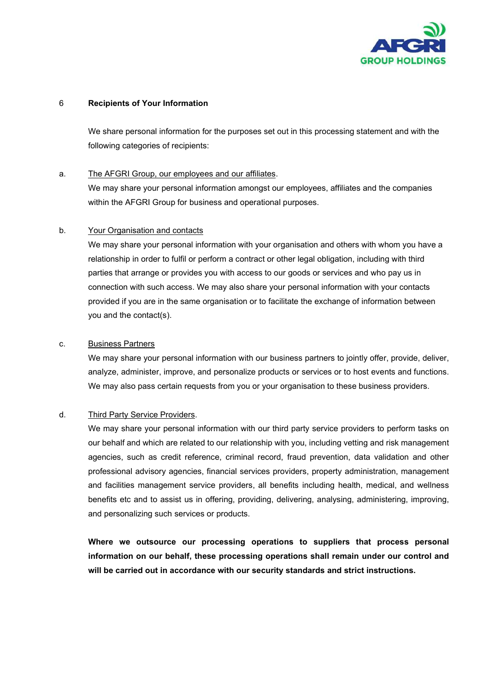

# 6 Recipients of Your Information

We share personal information for the purposes set out in this processing statement and with the following categories of recipients:

#### a. The AFGRI Group, our employees and our affiliates.

We may share your personal information amongst our employees, affiliates and the companies within the AFGRI Group for business and operational purposes.

#### b. Your Organisation and contacts

We may share your personal information with your organisation and others with whom you have a relationship in order to fulfil or perform a contract or other legal obligation, including with third parties that arrange or provides you with access to our goods or services and who pay us in connection with such access. We may also share your personal information with your contacts provided if you are in the same organisation or to facilitate the exchange of information between you and the contact(s).

### c. Business Partners

We may share your personal information with our business partners to jointly offer, provide, deliver, analyze, administer, improve, and personalize products or services or to host events and functions. We may also pass certain requests from you or your organisation to these business providers.

# d. Third Party Service Providers.

We may share your personal information with our third party service providers to perform tasks on our behalf and which are related to our relationship with you, including vetting and risk management agencies, such as credit reference, criminal record, fraud prevention, data validation and other professional advisory agencies, financial services providers, property administration, management and facilities management service providers, all benefits including health, medical, and wellness benefits etc and to assist us in offering, providing, delivering, analysing, administering, improving, and personalizing such services or products.

Where we outsource our processing operations to suppliers that process personal information on our behalf, these processing operations shall remain under our control and will be carried out in accordance with our security standards and strict instructions.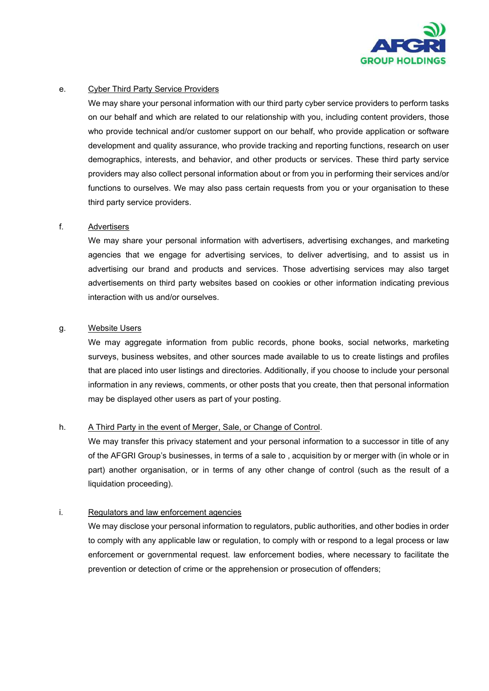

# e. Cyber Third Party Service Providers

We may share your personal information with our third party cyber service providers to perform tasks on our behalf and which are related to our relationship with you, including content providers, those who provide technical and/or customer support on our behalf, who provide application or software development and quality assurance, who provide tracking and reporting functions, research on user demographics, interests, and behavior, and other products or services. These third party service providers may also collect personal information about or from you in performing their services and/or functions to ourselves. We may also pass certain requests from you or your organisation to these third party service providers.

#### f. Advertisers

We may share your personal information with advertisers, advertising exchanges, and marketing agencies that we engage for advertising services, to deliver advertising, and to assist us in advertising our brand and products and services. Those advertising services may also target advertisements on third party websites based on cookies or other information indicating previous interaction with us and/or ourselves.

# g. Website Users

We may aggregate information from public records, phone books, social networks, marketing surveys, business websites, and other sources made available to us to create listings and profiles that are placed into user listings and directories. Additionally, if you choose to include your personal information in any reviews, comments, or other posts that you create, then that personal information may be displayed other users as part of your posting.

# h. A Third Party in the event of Merger, Sale, or Change of Control.

We may transfer this privacy statement and your personal information to a successor in title of any of the AFGRI Group's businesses, in terms of a sale to , acquisition by or merger with (in whole or in part) another organisation, or in terms of any other change of control (such as the result of a liquidation proceeding).

# i. Regulators and law enforcement agencies

We may disclose your personal information to regulators, public authorities, and other bodies in order to comply with any applicable law or regulation, to comply with or respond to a legal process or law enforcement or governmental request. law enforcement bodies, where necessary to facilitate the prevention or detection of crime or the apprehension or prosecution of offenders;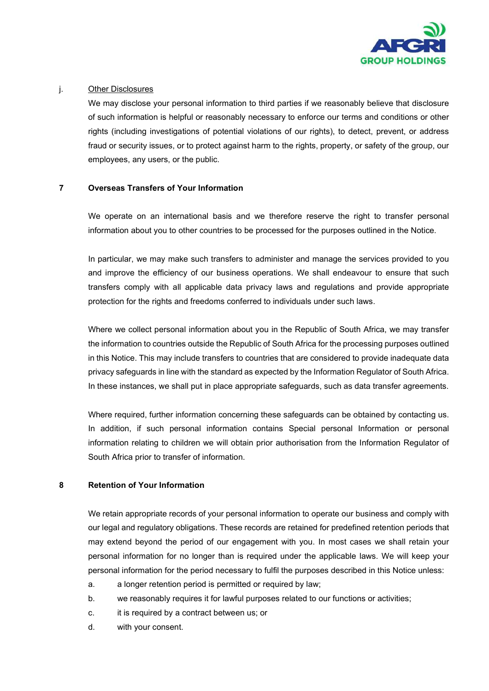

# j. Other Disclosures

We may disclose your personal information to third parties if we reasonably believe that disclosure of such information is helpful or reasonably necessary to enforce our terms and conditions or other rights (including investigations of potential violations of our rights), to detect, prevent, or address fraud or security issues, or to protect against harm to the rights, property, or safety of the group, our employees, any users, or the public.

# 7 Overseas Transfers of Your Information

We operate on an international basis and we therefore reserve the right to transfer personal information about you to other countries to be processed for the purposes outlined in the Notice.

In particular, we may make such transfers to administer and manage the services provided to you and improve the efficiency of our business operations. We shall endeavour to ensure that such transfers comply with all applicable data privacy laws and regulations and provide appropriate protection for the rights and freedoms conferred to individuals under such laws.

Where we collect personal information about you in the Republic of South Africa, we may transfer the information to countries outside the Republic of South Africa for the processing purposes outlined in this Notice. This may include transfers to countries that are considered to provide inadequate data privacy safeguards in line with the standard as expected by the Information Regulator of South Africa. In these instances, we shall put in place appropriate safeguards, such as data transfer agreements.

Where required, further information concerning these safeguards can be obtained by contacting us. In addition, if such personal information contains Special personal Information or personal information relating to children we will obtain prior authorisation from the Information Regulator of South Africa prior to transfer of information.

# 8 Retention of Your Information

We retain appropriate records of your personal information to operate our business and comply with our legal and regulatory obligations. These records are retained for predefined retention periods that may extend beyond the period of our engagement with you. In most cases we shall retain your personal information for no longer than is required under the applicable laws. We will keep your personal information for the period necessary to fulfil the purposes described in this Notice unless:

- a. a longer retention period is permitted or required by law;
- b. we reasonably requires it for lawful purposes related to our functions or activities;
- c. it is required by a contract between us; or
- d. with your consent.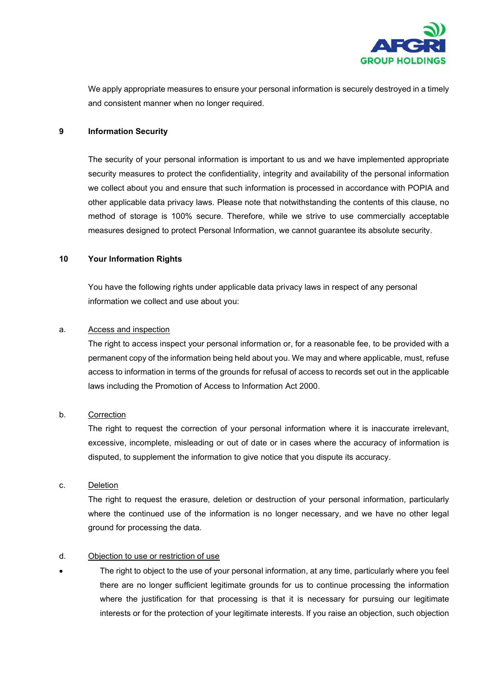

We apply appropriate measures to ensure your personal information is securely destroyed in a timely and consistent manner when no longer required.

#### 9 Information Security

The security of your personal information is important to us and we have implemented appropriate security measures to protect the confidentiality, integrity and availability of the personal information we collect about you and ensure that such information is processed in accordance with POPIA and other applicable data privacy laws. Please note that notwithstanding the contents of this clause, no method of storage is 100% secure. Therefore, while we strive to use commercially acceptable measures designed to protect Personal Information, we cannot guarantee its absolute security.

### 10 Your Information Rights

You have the following rights under applicable data privacy laws in respect of any personal information we collect and use about you:

#### a. Access and inspection

The right to access inspect your personal information or, for a reasonable fee, to be provided with a permanent copy of the information being held about you. We may and where applicable, must, refuse access to information in terms of the grounds for refusal of access to records set out in the applicable laws including the Promotion of Access to Information Act 2000.

# b. Correction

The right to request the correction of your personal information where it is inaccurate irrelevant, excessive, incomplete, misleading or out of date or in cases where the accuracy of information is disputed, to supplement the information to give notice that you dispute its accuracy.

#### c. Deletion

The right to request the erasure, deletion or destruction of your personal information, particularly where the continued use of the information is no longer necessary, and we have no other legal ground for processing the data.

# d. Objection to use or restriction of use

 The right to object to the use of your personal information, at any time, particularly where you feel there are no longer sufficient legitimate grounds for us to continue processing the information where the justification for that processing is that it is necessary for pursuing our legitimate interests or for the protection of your legitimate interests. If you raise an objection, such objection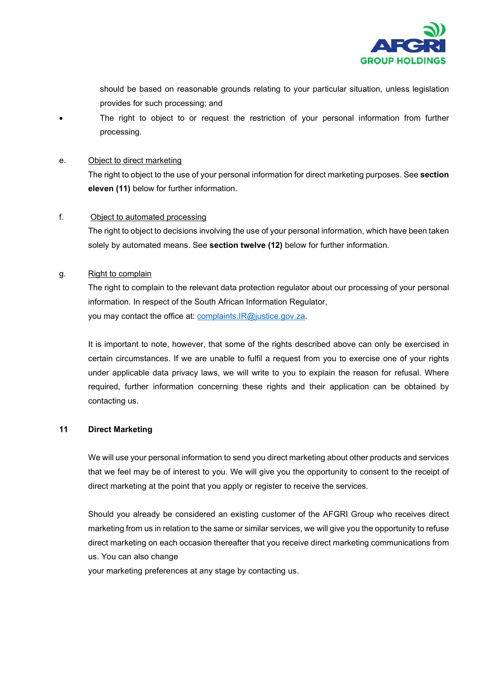

should be based on reasonable grounds relating to your particular situation, unless legislation provides for such processing; and

 The right to object to or request the restriction of your personal information from further processing.

#### e. Object to direct marketing

The right to object to the use of your personal information for direct marketing purposes. See section eleven (11) below for further information.

#### f. Object to automated processing

The right to object to decisions involving the use of your personal information, which have been taken solely by automated means. See section twelve (12) below for further information.

#### g. Right to complain

The right to complain to the relevant data protection regulator about our processing of your personal information. In respect of the South African Information Regulator, you may contact the office at: complaints.IR@justice.gov.za.

It is important to note, however, that some of the rights described above can only be exercised in certain circumstances. If we are unable to fulfil a request from you to exercise one of your rights under applicable data privacy laws, we will write to you to explain the reason for refusal. Where required, further information concerning these rights and their application can be obtained by contacting us.

# 11 Direct Marketing

We will use your personal information to send you direct marketing about other products and services that we feel may be of interest to you. We will give you the opportunity to consent to the receipt of direct marketing at the point that you apply or register to receive the services.

Should you already be considered an existing customer of the AFGRI Group who receives direct marketing from us in relation to the same or similar services, we will give you the opportunity to refuse direct marketing on each occasion thereafter that you receive direct marketing communications from us. You can also change

your marketing preferences at any stage by contacting us.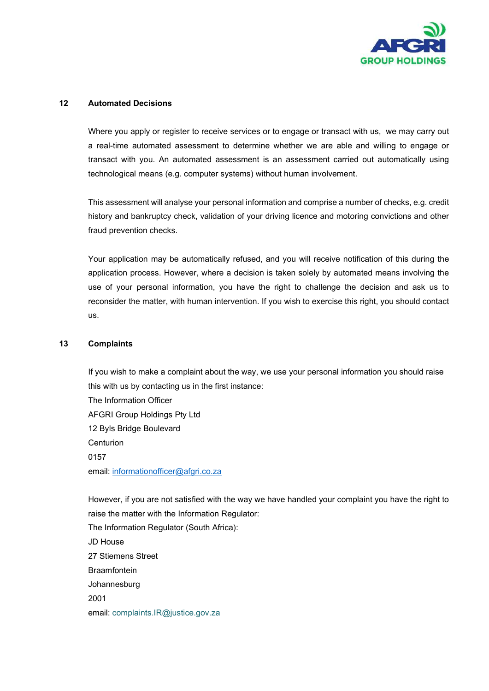

# 12 Automated Decisions

Where you apply or register to receive services or to engage or transact with us, we may carry out a real-time automated assessment to determine whether we are able and willing to engage or transact with you. An automated assessment is an assessment carried out automatically using technological means (e.g. computer systems) without human involvement.

This assessment will analyse your personal information and comprise a number of checks, e.g. credit history and bankruptcy check, validation of your driving licence and motoring convictions and other fraud prevention checks.

Your application may be automatically refused, and you will receive notification of this during the application process. However, where a decision is taken solely by automated means involving the use of your personal information, you have the right to challenge the decision and ask us to reconsider the matter, with human intervention. If you wish to exercise this right, you should contact us.

#### 13 Complaints

If you wish to make a complaint about the way, we use your personal information you should raise this with us by contacting us in the first instance: The Information Officer AFGRI Group Holdings Pty Ltd

12 Byls Bridge Boulevard Centurion 0157 email: informationofficer@afgri.co.za

However, if you are not satisfied with the way we have handled your complaint you have the right to raise the matter with the Information Regulator: The Information Regulator (South Africa): JD House 27 Stiemens Street Braamfontein Johannesburg 2001 email: complaints.IR@justice.gov.za